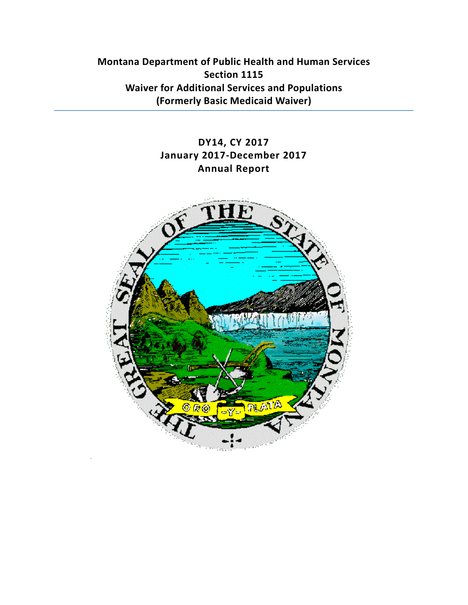**Montana Department of Public Health and Human Services Section 1115 Waiver for Additional Services and Populations (Formerly Basic Medicaid Waiver)**

# **DY14, CY 2017 January 2017-December 2017 Annual Report**

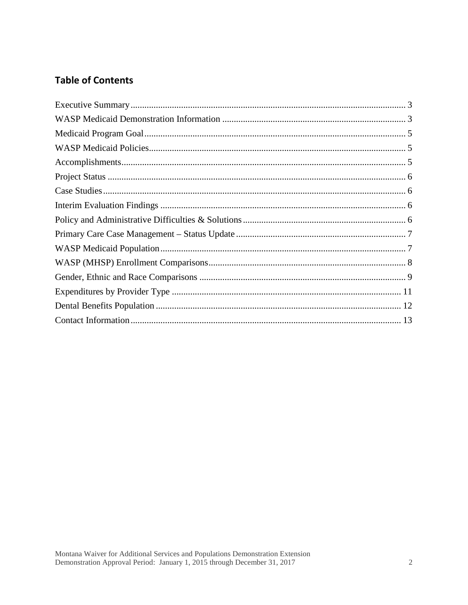# **Table of Contents**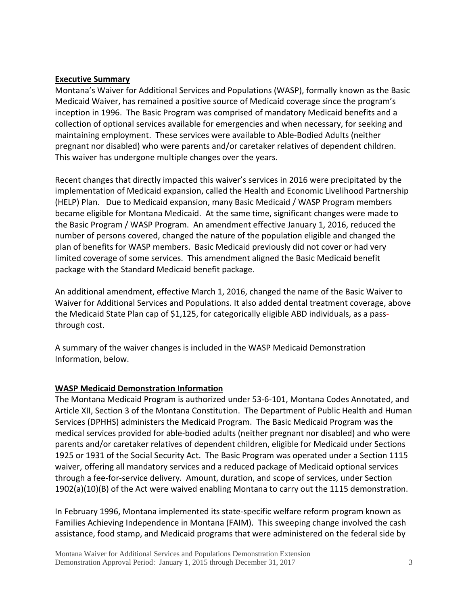#### <span id="page-2-0"></span>**Executive Summary**

Montana's Waiver for Additional Services and Populations (WASP), formally known as the Basic Medicaid Waiver, has remained a positive source of Medicaid coverage since the program's inception in 1996. The Basic Program was comprised of mandatory Medicaid benefits and a collection of optional services available for emergencies and when necessary, for seeking and maintaining employment. These services were available to Able-Bodied Adults (neither pregnant nor disabled) who were parents and/or caretaker relatives of dependent children. This waiver has undergone multiple changes over the years.

Recent changes that directly impacted this waiver's services in 2016 were precipitated by the implementation of Medicaid expansion, called the Health and Economic Livelihood Partnership (HELP) Plan. Due to Medicaid expansion, many Basic Medicaid / WASP Program members became eligible for Montana Medicaid. At the same time, significant changes were made to the Basic Program / WASP Program. An amendment effective January 1, 2016, reduced the number of persons covered, changed the nature of the population eligible and changed the plan of benefits for WASP members. Basic Medicaid previously did not cover or had very limited coverage of some services. This amendment aligned the Basic Medicaid benefit package with the Standard Medicaid benefit package.

An additional amendment, effective March 1, 2016, changed the name of the Basic Waiver to Waiver for Additional Services and Populations. It also added dental treatment coverage, above the Medicaid State Plan cap of \$1,125, for categorically eligible ABD individuals, as a passthrough cost.

A summary of the waiver changes is included in the WASP Medicaid Demonstration Information, below.

## <span id="page-2-1"></span>**WASP Medicaid Demonstration Information**

The Montana Medicaid Program is authorized under 53-6-101, Montana Codes Annotated, and Article XII, Section 3 of the Montana Constitution. The Department of Public Health and Human Services (DPHHS) administers the Medicaid Program. The Basic Medicaid Program was the medical services provided for able-bodied adults (neither pregnant nor disabled) and who were parents and/or caretaker relatives of dependent children, eligible for Medicaid under Sections 1925 or 1931 of the Social Security Act. The Basic Program was operated under a Section 1115 waiver, offering all mandatory services and a reduced package of Medicaid optional services through a fee-for-service delivery. Amount, duration, and scope of services, under Section 1902(a)(10)(B) of the Act were waived enabling Montana to carry out the 1115 demonstration.

In February 1996, Montana implemented its state-specific welfare reform program known as Families Achieving Independence in Montana (FAIM). This sweeping change involved the cash assistance, food stamp, and Medicaid programs that were administered on the federal side by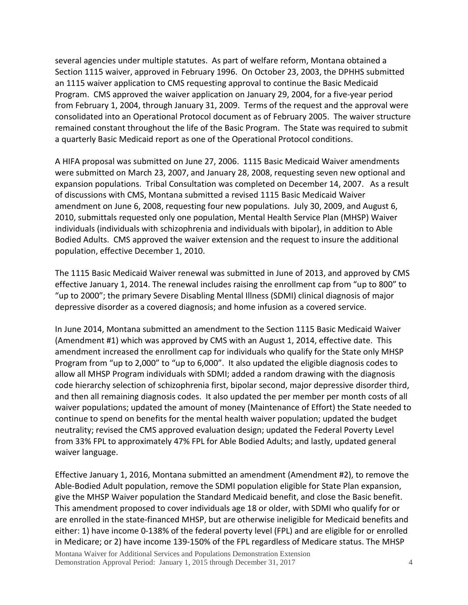several agencies under multiple statutes. As part of welfare reform, Montana obtained a Section 1115 waiver, approved in February 1996. On October 23, 2003, the DPHHS submitted an 1115 waiver application to CMS requesting approval to continue the Basic Medicaid Program. CMS approved the waiver application on January 29, 2004, for a five-year period from February 1, 2004, through January 31, 2009. Terms of the request and the approval were consolidated into an Operational Protocol document as of February 2005. The waiver structure remained constant throughout the life of the Basic Program. The State was required to submit a quarterly Basic Medicaid report as one of the Operational Protocol conditions.

A HIFA proposal was submitted on June 27, 2006. 1115 Basic Medicaid Waiver amendments were submitted on March 23, 2007, and January 28, 2008, requesting seven new optional and expansion populations. Tribal Consultation was completed on December 14, 2007. As a result of discussions with CMS, Montana submitted a revised 1115 Basic Medicaid Waiver amendment on June 6, 2008, requesting four new populations. July 30, 2009, and August 6, 2010, submittals requested only one population, Mental Health Service Plan (MHSP) Waiver individuals (individuals with schizophrenia and individuals with bipolar), in addition to Able Bodied Adults. CMS approved the waiver extension and the request to insure the additional population, effective December 1, 2010.

The 1115 Basic Medicaid Waiver renewal was submitted in June of 2013, and approved by CMS effective January 1, 2014. The renewal includes raising the enrollment cap from "up to 800" to "up to 2000"; the primary Severe Disabling Mental Illness (SDMI) clinical diagnosis of major depressive disorder as a covered diagnosis; and home infusion as a covered service.

In June 2014, Montana submitted an amendment to the Section 1115 Basic Medicaid Waiver (Amendment #1) which was approved by CMS with an August 1, 2014, effective date. This amendment increased the enrollment cap for individuals who qualify for the State only MHSP Program from "up to 2,000" to "up to 6,000". It also updated the eligible diagnosis codes to allow all MHSP Program individuals with SDMI; added a random drawing with the diagnosis code hierarchy selection of schizophrenia first, bipolar second, major depressive disorder third, and then all remaining diagnosis codes. It also updated the per member per month costs of all waiver populations; updated the amount of money (Maintenance of Effort) the State needed to continue to spend on benefits for the mental health waiver population; updated the budget neutrality; revised the CMS approved evaluation design; updated the Federal Poverty Level from 33% FPL to approximately 47% FPL for Able Bodied Adults; and lastly, updated general waiver language.

Effective January 1, 2016, Montana submitted an amendment (Amendment #2), to remove the Able-Bodied Adult population, remove the SDMI population eligible for State Plan expansion, give the MHSP Waiver population the Standard Medicaid benefit, and close the Basic benefit. This amendment proposed to cover individuals age 18 or older, with SDMI who qualify for or are enrolled in the state-financed MHSP, but are otherwise ineligible for Medicaid benefits and either: 1) have income 0-138% of the federal poverty level (FPL) and are eligible for or enrolled in Medicare; or 2) have income 139-150% of the FPL regardless of Medicare status. The MHSP

Montana Waiver for Additional Services and Populations Demonstration Extension Demonstration Approval Period: January 1, 2015 through December 31, 2017 4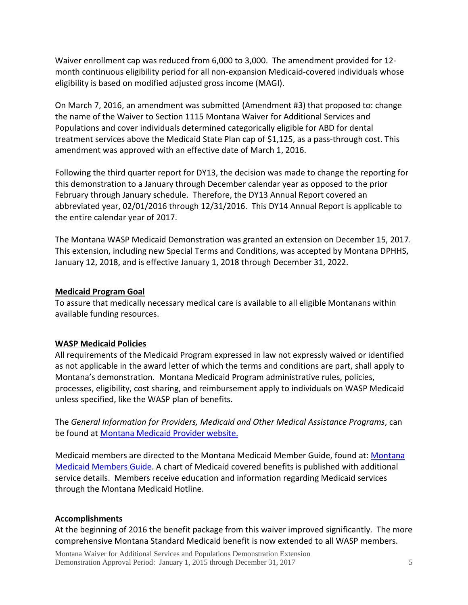Waiver enrollment cap was reduced from 6,000 to 3,000. The amendment provided for 12 month continuous eligibility period for all non-expansion Medicaid-covered individuals whose eligibility is based on modified adjusted gross income (MAGI).

On March 7, 2016, an amendment was submitted (Amendment #3) that proposed to: change the name of the Waiver to Section 1115 Montana Waiver for Additional Services and Populations and cover individuals determined categorically eligible for ABD for dental treatment services above the Medicaid State Plan cap of \$1,125, as a pass-through cost. This amendment was approved with an effective date of March 1, 2016.

Following the third quarter report for DY13, the decision was made to change the reporting for this demonstration to a January through December calendar year as opposed to the prior February through January schedule. Therefore, the DY13 Annual Report covered an abbreviated year, 02/01/2016 through 12/31/2016. This DY14 Annual Report is applicable to the entire calendar year of 2017.

The Montana WASP Medicaid Demonstration was granted an extension on December 15, 2017. This extension, including new Special Terms and Conditions, was accepted by Montana DPHHS, January 12, 2018, and is effective January 1, 2018 through December 31, 2022.

#### <span id="page-4-0"></span>**Medicaid Program Goal**

To assure that medically necessary medical care is available to all eligible Montanans within available funding resources.

## <span id="page-4-1"></span>**WASP Medicaid Policies**

All requirements of the Medicaid Program expressed in law not expressly waived or identified as not applicable in the award letter of which the terms and conditions are part, shall apply to Montana's demonstration. Montana Medicaid Program administrative rules, policies, processes, eligibility, cost sharing, and reimbursement apply to individuals on WASP Medicaid unless specified, like the WASP plan of benefits.

The *General Information for Providers, Medicaid and Other Medical Assistance Programs*, can be found at [Montana Medicaid Provider website.](http://medicaidprovider.mt.gov/)

Medicaid members are directed to the Montana Medicaid Member Guide, found at: [Montana](http://dphhs.mt.gov/MontanaHealthcarePrograms/Welcome/MemberServices)  [Medicaid Members Guide.](http://dphhs.mt.gov/MontanaHealthcarePrograms/Welcome/MemberServices) A chart of Medicaid covered benefits is published with additional service details. Members receive education and information regarding Medicaid services through the Montana Medicaid Hotline.

## <span id="page-4-2"></span>**Accomplishments**

At the beginning of 2016 the benefit package from this waiver improved significantly. The more comprehensive Montana Standard Medicaid benefit is now extended to all WASP members.

Montana Waiver for Additional Services and Populations Demonstration Extension Demonstration Approval Period: January 1, 2015 through December 31, 2017 5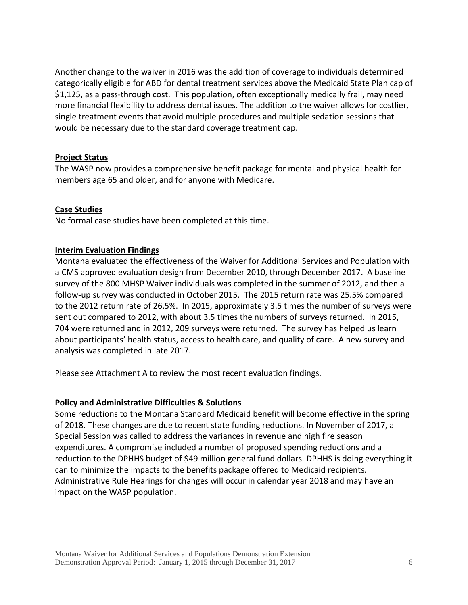Another change to the waiver in 2016 was the addition of coverage to individuals determined categorically eligible for ABD for dental treatment services above the Medicaid State Plan cap of \$1,125, as a pass-through cost. This population, often exceptionally medically frail, may need more financial flexibility to address dental issues. The addition to the waiver allows for costlier, single treatment events that avoid multiple procedures and multiple sedation sessions that would be necessary due to the standard coverage treatment cap.

#### <span id="page-5-0"></span>**Project Status**

<span id="page-5-1"></span>The WASP now provides a comprehensive benefit package for mental and physical health for members age 65 and older, and for anyone with Medicare.

#### **Case Studies**

<span id="page-5-2"></span>No formal case studies have been completed at this time.

#### **Interim Evaluation Findings**

Montana evaluated the effectiveness of the Waiver for Additional Services and Population with a CMS approved evaluation design from December 2010, through December 2017. A baseline survey of the 800 MHSP Waiver individuals was completed in the summer of 2012, and then a follow-up survey was conducted in October 2015. The 2015 return rate was 25.5% compared to the 2012 return rate of 26.5%. In 2015, approximately 3.5 times the number of surveys were sent out compared to 2012, with about 3.5 times the numbers of surveys returned. In 2015, 704 were returned and in 2012, 209 surveys were returned. The survey has helped us learn about participants' health status, access to health care, and quality of care. A new survey and analysis was completed in late 2017.

<span id="page-5-3"></span>Please see Attachment A to review the most recent evaluation findings.

#### **Policy and Administrative Difficulties & Solutions**

Some reductions to the Montana Standard Medicaid benefit will become effective in the spring of 2018. These changes are due to recent state funding reductions. In November of 2017, a Special Session was called to address the variances in revenue and high fire season expenditures. A compromise included a number of proposed spending reductions and a reduction to the DPHHS budget of \$49 million general fund dollars. DPHHS is doing everything it can to minimize the impacts to the benefits package offered to Medicaid recipients. Administrative Rule Hearings for changes will occur in calendar year 2018 and may have an impact on the WASP population.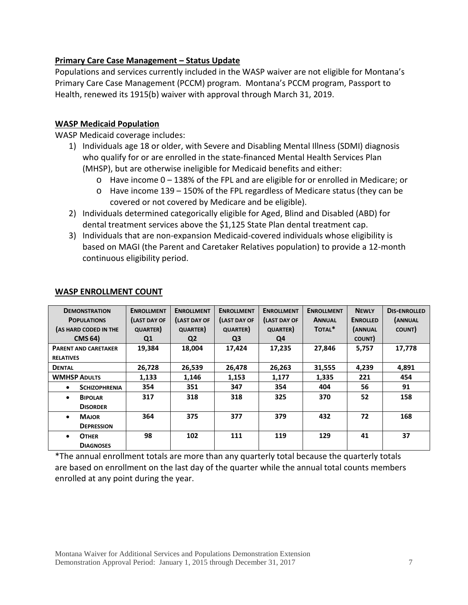## <span id="page-6-0"></span>**Primary Care Case Management – Status Update**

Populations and services currently included in the WASP waiver are not eligible for Montana's Primary Care Case Management (PCCM) program. Montana's PCCM program, Passport to Health, renewed its 1915(b) waiver with approval through March 31, 2019.

#### <span id="page-6-1"></span>**WASP Medicaid Population**

WASP Medicaid coverage includes:

- 1) Individuals age 18 or older, with Severe and Disabling Mental Illness (SDMI) diagnosis who qualify for or are enrolled in the state-financed Mental Health Services Plan (MHSP), but are otherwise ineligible for Medicaid benefits and either:
	- $\circ$  Have income 0 138% of the FPL and are eligible for or enrolled in Medicare; or
	- o Have income 139 150% of the FPL regardless of Medicare status (they can be covered or not covered by Medicare and be eligible).
- 2) Individuals determined categorically eligible for Aged, Blind and Disabled (ABD) for dental treatment services above the \$1,125 State Plan dental treatment cap.
- 3) Individuals that are non-expansion Medicaid-covered individuals whose eligibility is based on MAGI (the Parent and Caretaker Relatives population) to provide a 12-month continuous eligibility period.

| <b>DEMONSTRATION</b>        | <b>ENROLLMENT</b>  | <b>ENROLLMENT</b> | <b>ENROLLMENT</b>  | <b>ENROLLMENT</b>  | <b>ENROLLMENT</b> | <b>NEWLY</b>    | <b>DIS-ENROLLED</b> |
|-----------------------------|--------------------|-------------------|--------------------|--------------------|-------------------|-----------------|---------------------|
| <b>POPULATIONS</b>          | <b>LAST DAY OF</b> | (LAST DAY OF      | <b>LAST DAY OF</b> | <b>LAST DAY OF</b> | <b>ANNUAL</b>     | <b>ENROLLED</b> | (ANNUAL             |
| (AS HARD CODED IN THE       | <b>QUARTER</b> )   | <b>QUARTER</b> )  | <b>QUARTER</b> )   | <b>QUARTER</b>     | TOTAL*            | (ANNUAL         | COUNT)              |
| <b>CMS 64)</b>              | Q1                 | Q <sub>2</sub>    | Q <sub>3</sub>     | Q4                 |                   | COUNT)          |                     |
| <b>PARENT AND CARETAKER</b> | 19,384             | 18,004            | 17,424             | 17,235             | 27,846            | 5,757           | 17,778              |
| <b>RELATIVES</b>            |                    |                   |                    |                    |                   |                 |                     |
| <b>DENTAL</b>               | 26,728             | 26,539            | 26,478             | 26,263             | 31,555            | 4,239           | 4,891               |
| <b>WMHSP ADULTS</b>         | 1,133              | 1,146             | 1.153              | 1,177              | 1,335             | 221             | 454                 |
| <b>SCHIZOPHRENIA</b>        | 354                | 351               | 347                | 354                | 404               | 56              | 91                  |
| <b>BIPOLAR</b><br>$\bullet$ | 317                | 318               | 318                | 325                | 370               | 52              | 158                 |
| <b>DISORDER</b>             |                    |                   |                    |                    |                   |                 |                     |
| <b>MAJOR</b><br>$\bullet$   | 364                | 375               | 377                | 379                | 432               | 72              | 168                 |
| <b>DEPRESSION</b>           |                    |                   |                    |                    |                   |                 |                     |
| <b>OTHER</b><br>$\bullet$   | 98                 | 102               | 111                | 119                | 129               | 41              | 37                  |
| <b>DIAGNOSES</b>            |                    |                   |                    |                    |                   |                 |                     |

#### **WASP ENROLLMENT COUNT**

\*The annual enrollment totals are more than any quarterly total because the quarterly totals are based on enrollment on the last day of the quarter while the annual total counts members enrolled at any point during the year.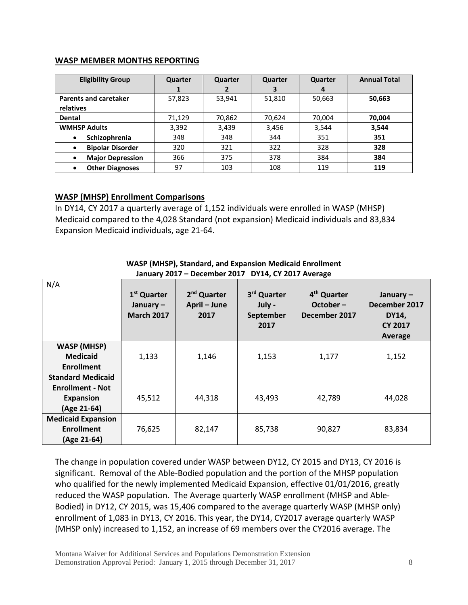#### **WASP MEMBER MONTHS REPORTING**

| <b>Eligibility Group</b>     | Quarter | Quarter | Quarter | Quarter          | <b>Annual Total</b> |
|------------------------------|---------|---------|---------|------------------|---------------------|
|                              |         | 2       | з       | $\boldsymbol{4}$ |                     |
| <b>Parents and caretaker</b> | 57,823  | 53,941  | 51,810  | 50,663           | 50,663              |
| relatives                    |         |         |         |                  |                     |
| <b>Dental</b>                | 71,129  | 70,862  | 70,624  | 70,004           | 70,004              |
| <b>WMHSP Adults</b>          | 3,392   | 3,439   | 3,456   | 3,544            | 3,544               |
| Schizophrenia<br>٠           | 348     | 348     | 344     | 351              | 351                 |
| <b>Bipolar Disorder</b><br>٠ | 320     | 321     | 322     | 328              | 328                 |
| <b>Major Depression</b><br>٠ | 366     | 375     | 378     | 384              | 384                 |
| <b>Other Diagnoses</b><br>٠  | 97      | 103     | 108     | 119              | 119                 |

## <span id="page-7-0"></span>**WASP (MHSP) Enrollment Comparisons**

In DY14, CY 2017 a quarterly average of 1,152 individuals were enrolled in WASP (MHSP) Medicaid compared to the 4,028 Standard (not expansion) Medicaid individuals and 83,834 Expansion Medicaid individuals, age 21-64.

| N/A                                                                                    | 1 <sup>st</sup> Quarter<br>January $-$<br><b>March 2017</b> | 2 <sup>nd</sup> Quarter<br>April - June<br>2017 | 3rd Quarter<br>July -<br>September<br>2017 | 4 <sup>th</sup> Quarter<br>October-<br>December 2017 | January $-$<br>December 2017<br><b>DY14,</b><br><b>CY 2017</b><br>Average |
|----------------------------------------------------------------------------------------|-------------------------------------------------------------|-------------------------------------------------|--------------------------------------------|------------------------------------------------------|---------------------------------------------------------------------------|
| <b>WASP (MHSP)</b><br><b>Medicaid</b><br><b>Enrollment</b>                             | 1,133                                                       | 1,146                                           | 1,153                                      | 1,177                                                | 1,152                                                                     |
| <b>Standard Medicaid</b><br><b>Enrollment - Not</b><br><b>Expansion</b><br>(Age 21-64) | 45,512                                                      | 44,318                                          | 43,493                                     | 42,789                                               | 44,028                                                                    |
| <b>Medicaid Expansion</b><br><b>Enrollment</b><br>(Age 21-64)                          | 76,625                                                      | 82,147                                          | 85,738                                     | 90,827                                               | 83,834                                                                    |

#### **WASP (MHSP), Standard, and Expansion Medicaid Enrollment January 2017 – December 2017 DY14, CY 2017 Average**

The change in population covered under WASP between DY12, CY 2015 and DY13, CY 2016 is significant. Removal of the Able-Bodied population and the portion of the MHSP population who qualified for the newly implemented Medicaid Expansion, effective 01/01/2016, greatly reduced the WASP population. The Average quarterly WASP enrollment (MHSP and Able-Bodied) in DY12, CY 2015, was 15,406 compared to the average quarterly WASP (MHSP only) enrollment of 1,083 in DY13, CY 2016. This year, the DY14, CY2017 average quarterly WASP (MHSP only) increased to 1,152, an increase of 69 members over the CY2016 average. The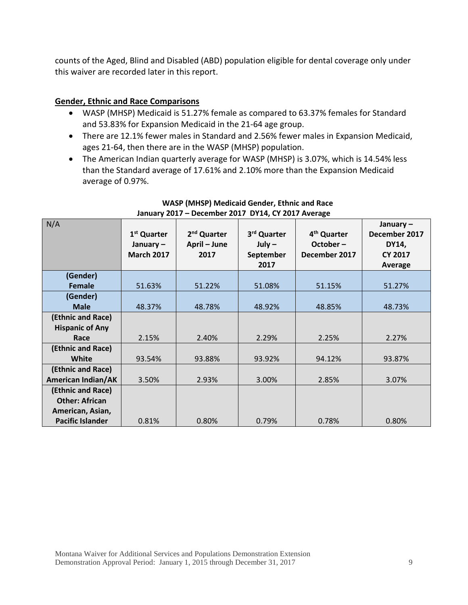counts of the Aged, Blind and Disabled (ABD) population eligible for dental coverage only under this waiver are recorded later in this report.

## <span id="page-8-0"></span>**Gender, Ethnic and Race Comparisons**

- WASP (MHSP) Medicaid is 51.27% female as compared to 63.37% females for Standard and 53.83% for Expansion Medicaid in the 21-64 age group.
- There are 12.1% fewer males in Standard and 2.56% fewer males in Expansion Medicaid, ages 21-64, then there are in the WASP (MHSP) population.
- The American Indian quarterly average for WASP (MHSP) is 3.07%, which is 14.54% less than the Standard average of 17.61% and 2.10% more than the Expansion Medicaid average of 0.97%.

| N/A                       | 1 <sup>st</sup> Quarter<br>January $-$<br><b>March 2017</b> | 2 <sup>nd</sup> Quarter<br>April - June<br>2017 | 3rd Quarter<br>$July -$<br>September<br>2017 | 4 <sup>th</sup> Quarter<br>$October -$<br>December 2017 | January-<br>December 2017<br>DY14,<br><b>CY 2017</b><br>Average |
|---------------------------|-------------------------------------------------------------|-------------------------------------------------|----------------------------------------------|---------------------------------------------------------|-----------------------------------------------------------------|
| (Gender)                  |                                                             |                                                 |                                              |                                                         |                                                                 |
| Female                    | 51.63%                                                      | 51.22%                                          | 51.08%                                       | 51.15%                                                  | 51.27%                                                          |
| (Gender)                  |                                                             |                                                 |                                              |                                                         |                                                                 |
| <b>Male</b>               | 48.37%                                                      | 48.78%                                          | 48.92%                                       | 48.85%                                                  | 48.73%                                                          |
| (Ethnic and Race)         |                                                             |                                                 |                                              |                                                         |                                                                 |
| <b>Hispanic of Any</b>    |                                                             |                                                 |                                              |                                                         |                                                                 |
| Race                      | 2.15%                                                       | 2.40%                                           | 2.29%                                        | 2.25%                                                   | 2.27%                                                           |
| (Ethnic and Race)         |                                                             |                                                 |                                              |                                                         |                                                                 |
| White                     | 93.54%                                                      | 93.88%                                          | 93.92%                                       | 94.12%                                                  | 93.87%                                                          |
| (Ethnic and Race)         |                                                             |                                                 |                                              |                                                         |                                                                 |
| <b>American Indian/AK</b> | 3.50%                                                       | 2.93%                                           | 3.00%                                        | 2.85%                                                   | 3.07%                                                           |
| (Ethnic and Race)         |                                                             |                                                 |                                              |                                                         |                                                                 |
| <b>Other: African</b>     |                                                             |                                                 |                                              |                                                         |                                                                 |
| American, Asian,          |                                                             |                                                 |                                              |                                                         |                                                                 |
| <b>Pacific Islander</b>   | 0.81%                                                       | 0.80%                                           | 0.79%                                        | 0.78%                                                   | 0.80%                                                           |

#### **WASP (MHSP) Medicaid Gender, Ethnic and Race January 2017 – December 2017 DY14, CY 2017 Average**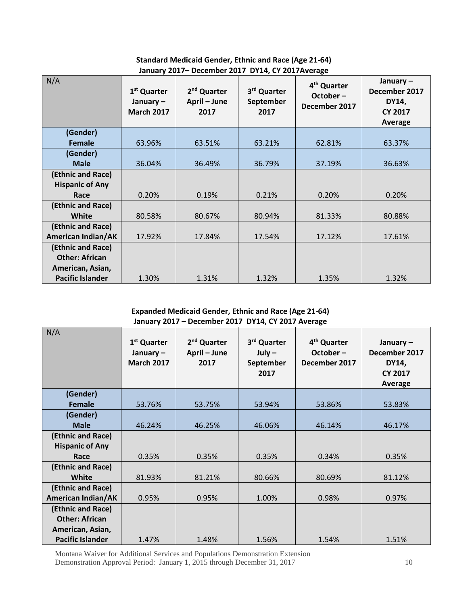**Standard Medicaid Gender, Ethnic and Race (Age 21-64) January 2017– December 2017 DY14, CY 2017Average**

| N/A                       | 1 <sup>st</sup> Quarter<br>January $-$<br><b>March 2017</b> | 2 <sup>nd</sup> Quarter<br>April - June<br>2017 | 3rd Quarter<br>September<br>2017 | 4 <sup>th</sup> Quarter<br>$October -$<br>December 2017 | January $-$<br>December 2017<br>DY14,<br><b>CY 2017</b><br>Average |
|---------------------------|-------------------------------------------------------------|-------------------------------------------------|----------------------------------|---------------------------------------------------------|--------------------------------------------------------------------|
| (Gender)                  |                                                             |                                                 |                                  |                                                         |                                                                    |
| Female                    | 63.96%                                                      | 63.51%                                          | 63.21%                           | 62.81%                                                  | 63.37%                                                             |
| (Gender)<br><b>Male</b>   | 36.04%                                                      | 36.49%                                          | 36.79%                           | 37.19%                                                  | 36.63%                                                             |
| (Ethnic and Race)         |                                                             |                                                 |                                  |                                                         |                                                                    |
| <b>Hispanic of Any</b>    |                                                             |                                                 |                                  |                                                         |                                                                    |
| Race                      | 0.20%                                                       | 0.19%                                           | 0.21%                            | 0.20%                                                   | 0.20%                                                              |
| (Ethnic and Race)         |                                                             |                                                 |                                  |                                                         |                                                                    |
| <b>White</b>              | 80.58%                                                      | 80.67%                                          | 80.94%                           | 81.33%                                                  | 80.88%                                                             |
| (Ethnic and Race)         |                                                             |                                                 |                                  |                                                         |                                                                    |
| <b>American Indian/AK</b> | 17.92%                                                      | 17.84%                                          | 17.54%                           | 17.12%                                                  | 17.61%                                                             |
| (Ethnic and Race)         |                                                             |                                                 |                                  |                                                         |                                                                    |
| <b>Other: African</b>     |                                                             |                                                 |                                  |                                                         |                                                                    |
| American, Asian,          |                                                             |                                                 |                                  |                                                         |                                                                    |
| <b>Pacific Islander</b>   | 1.30%                                                       | 1.31%                                           | 1.32%                            | 1.35%                                                   | 1.32%                                                              |

#### **Expanded Medicaid Gender, Ethnic and Race (Age 21-64) January 2017 – December 2017 DY14, CY 2017 Average**

| N/A                       | 1 <sup>st</sup> Quarter<br>January $-$<br><b>March 2017</b> | 2 <sup>nd</sup> Quarter<br>April - June<br>2017 | 3rd Quarter<br>$July -$<br>September | 4 <sup>th</sup> Quarter<br>October-<br>December 2017 | January $-$<br>December 2017<br>DY14, |
|---------------------------|-------------------------------------------------------------|-------------------------------------------------|--------------------------------------|------------------------------------------------------|---------------------------------------|
|                           |                                                             |                                                 | 2017                                 |                                                      | <b>CY 2017</b><br>Average             |
| (Gender)                  |                                                             |                                                 |                                      |                                                      |                                       |
| Female                    | 53.76%                                                      | 53.75%                                          | 53.94%                               | 53.86%                                               | 53.83%                                |
| (Gender)                  |                                                             |                                                 |                                      |                                                      |                                       |
| <b>Male</b>               | 46.24%                                                      | 46.25%                                          | 46.06%                               | 46.14%                                               | 46.17%                                |
| (Ethnic and Race)         |                                                             |                                                 |                                      |                                                      |                                       |
| <b>Hispanic of Any</b>    |                                                             |                                                 |                                      |                                                      |                                       |
| Race                      | 0.35%                                                       | 0.35%                                           | 0.35%                                | 0.34%                                                | 0.35%                                 |
| (Ethnic and Race)         |                                                             |                                                 |                                      |                                                      |                                       |
| <b>White</b>              | 81.93%                                                      | 81.21%                                          | 80.66%                               | 80.69%                                               | 81.12%                                |
| (Ethnic and Race)         |                                                             |                                                 |                                      |                                                      |                                       |
| <b>American Indian/AK</b> | 0.95%                                                       | 0.95%                                           | 1.00%                                | 0.98%                                                | 0.97%                                 |
| (Ethnic and Race)         |                                                             |                                                 |                                      |                                                      |                                       |
| <b>Other: African</b>     |                                                             |                                                 |                                      |                                                      |                                       |
| American, Asian,          |                                                             |                                                 |                                      |                                                      |                                       |
| <b>Pacific Islander</b>   | 1.47%                                                       | 1.48%                                           | 1.56%                                | 1.54%                                                | 1.51%                                 |

Montana Waiver for Additional Services and Populations Demonstration Extension Demonstration Approval Period: January 1, 2015 through December 31, 2017 10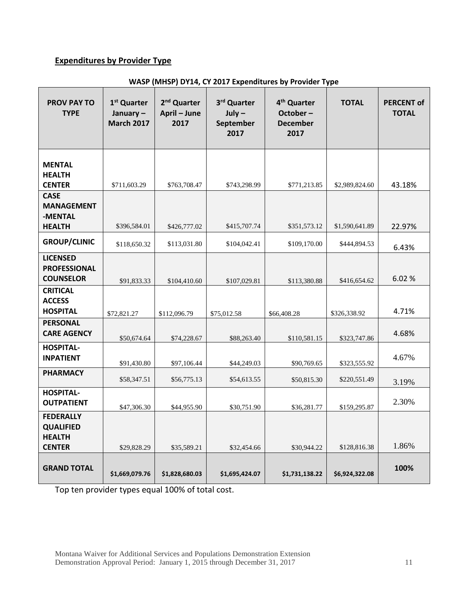## <span id="page-10-0"></span>**Expenditures by Provider Type**

| <b>PROV PAY TO</b><br><b>TYPE</b>                            | 1 <sup>st</sup> Quarter<br>January $-$<br><b>March 2017</b> | 2 <sup>nd</sup> Quarter<br>April - June<br>2017 | 3rd Quarter<br>$July -$<br>September<br>2017 | 4 <sup>th</sup> Quarter<br>October-<br><b>December</b><br>2017 | <b>TOTAL</b>                   | <b>PERCENT of</b><br><b>TOTAL</b> |
|--------------------------------------------------------------|-------------------------------------------------------------|-------------------------------------------------|----------------------------------------------|----------------------------------------------------------------|--------------------------------|-----------------------------------|
| <b>MENTAL</b><br><b>HEALTH</b><br><b>CENTER</b>              | \$711,603.29                                                | \$763,708.47                                    | \$743,298.99                                 | \$771,213.85                                                   | \$2,989,824.60                 | 43.18%                            |
| <b>CASE</b><br><b>MANAGEMENT</b><br>-MENTAL<br><b>HEALTH</b> | \$396,584.01                                                | \$426,777.02                                    | \$415,707.74                                 | \$351,573.12                                                   | \$1,590,641.89                 | 22.97%                            |
| <b>GROUP/CLINIC</b>                                          | \$118,650.32                                                | \$113,031.80                                    | \$104,042.41                                 | \$109,170.00                                                   | \$444,894.53                   | 6.43%                             |
| <b>LICENSED</b><br><b>PROFESSIONAL</b><br><b>COUNSELOR</b>   | \$91,833.33                                                 | \$104,410.60                                    | \$107,029.81                                 | \$113,380.88                                                   | \$416,654.62                   | 6.02%                             |
| <b>CRITICAL</b><br><b>ACCESS</b><br><b>HOSPITAL</b>          | \$72,821.27                                                 | \$112,096.79                                    | \$75,012.58                                  | \$66,408.28                                                    | \$326,338.92                   | 4.71%                             |
| <b>PERSONAL</b><br><b>CARE AGENCY</b>                        | \$50,674.64                                                 | \$74,228.67                                     | \$88,263.40                                  | \$110,581.15                                                   | \$323,747.86                   | 4.68%                             |
| <b>HOSPITAL-</b><br><b>INPATIENT</b>                         | \$91,430.80                                                 | \$97,106.44                                     | \$44,249.03                                  | \$90,769.65                                                    | \$323,555.92                   | 4.67%                             |
| <b>PHARMACY</b>                                              | \$58,347.51                                                 | \$56,775.13                                     | \$54,613.55                                  | \$50,815.30                                                    | \$220,551.49                   | 3.19%                             |
| <b>HOSPITAL-</b><br><b>OUTPATIENT</b>                        | \$47,306.30                                                 | \$44,955.90                                     | \$30,751.90                                  | \$36,281.77                                                    | \$159,295.87                   | 2.30%                             |
| <b>FEDERALLY</b><br><b>QUALIFIED</b><br><b>HEALTH</b>        |                                                             |                                                 |                                              |                                                                |                                | 1.86%                             |
| <b>CENTER</b><br><b>GRAND TOTAL</b>                          | \$29,828.29<br>\$1,669,079.76                               | \$35,589.21<br>\$1,828,680.03                   | \$32,454.66<br>\$1,695,424.07                | \$30,944.22<br>\$1,731,138.22                                  | \$128,816.38<br>\$6,924,322.08 | 100%                              |

#### **WASP (MHSP) DY14, CY 2017 Expenditures by Provider Type**

Top ten provider types equal 100% of total cost.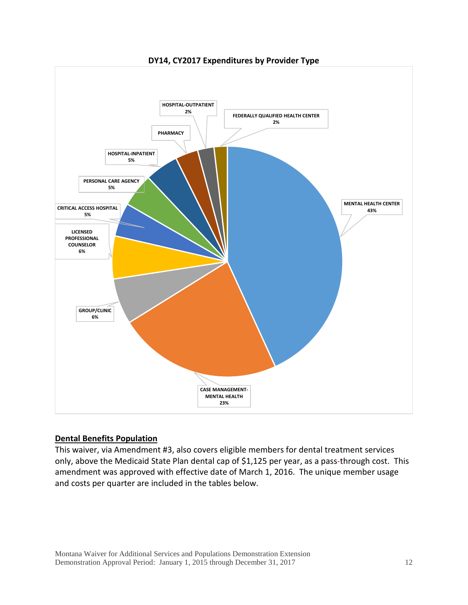

**DY14, CY2017 Expenditures by Provider Type**

#### <span id="page-11-0"></span>**Dental Benefits Population**

This waiver, via Amendment #3, also covers eligible members for dental treatment services only, above the Medicaid State Plan dental cap of \$1,125 per year, as a pass-through cost. This amendment was approved with effective date of March 1, 2016. The unique member usage and costs per quarter are included in the tables below.